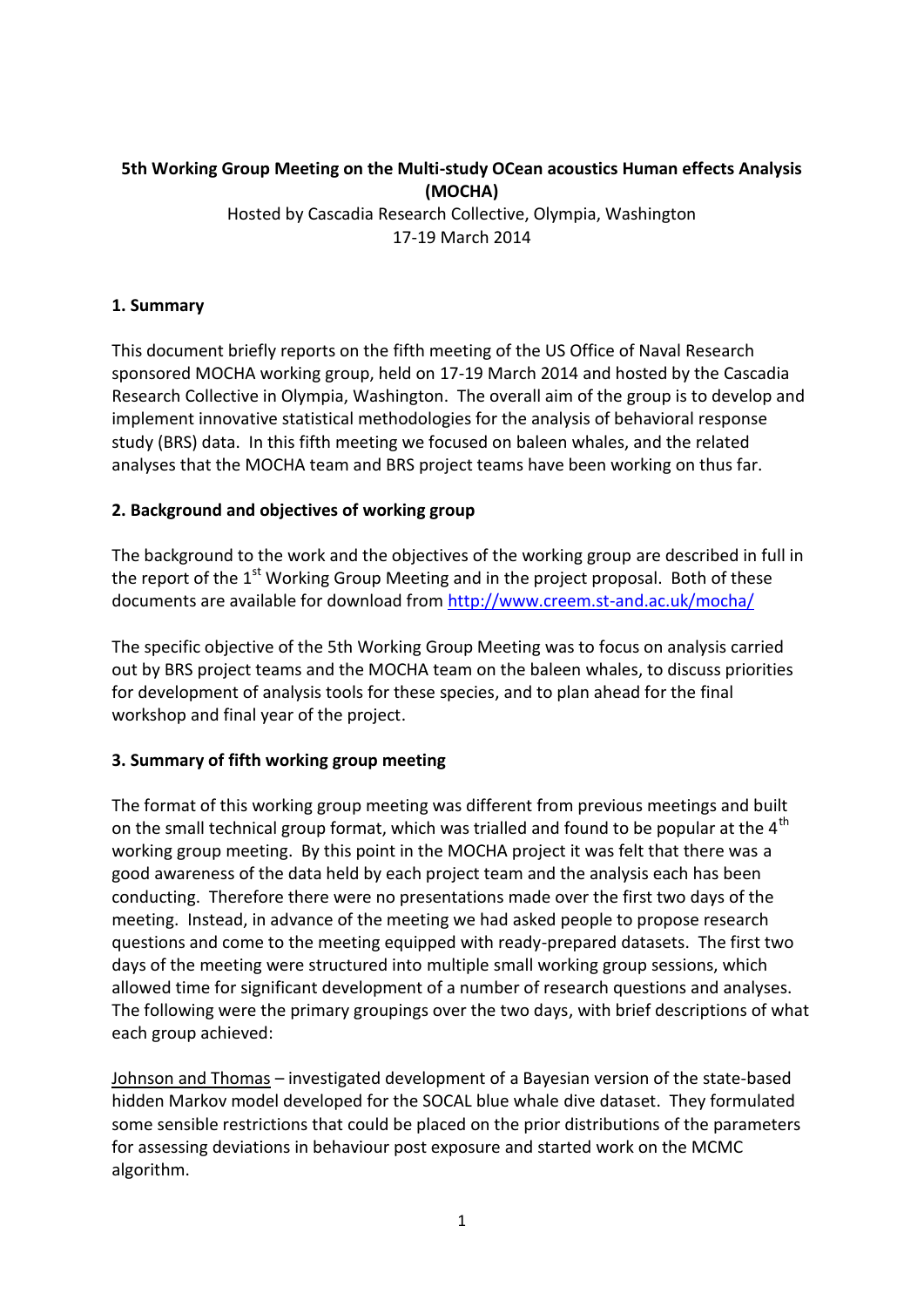# **5th Working Group Meeting on the Multi-study OCean acoustics Human effects Analysis (MOCHA)**

Hosted by Cascadia Research Collective, Olympia, Washington 17-19 March 2014

## **1. Summary**

This document briefly reports on the fifth meeting of the US Office of Naval Research sponsored MOCHA working group, held on 17-19 March 2014 and hosted by the Cascadia Research Collective in Olympia, Washington. The overall aim of the group is to develop and implement innovative statistical methodologies for the analysis of behavioral response study (BRS) data. In this fifth meeting we focused on baleen whales, and the related analyses that the MOCHA team and BRS project teams have been working on thus far.

## **2. Background and objectives of working group**

The background to the work and the objectives of the working group are described in full in the report of the  $1<sup>st</sup>$  Working Group Meeting and in the project proposal. Both of these documents are available for download from<http://www.creem.st-and.ac.uk/mocha/>

The specific objective of the 5th Working Group Meeting was to focus on analysis carried out by BRS project teams and the MOCHA team on the baleen whales, to discuss priorities for development of analysis tools for these species, and to plan ahead for the final workshop and final year of the project.

## **3. Summary of fifth working group meeting**

The format of this working group meeting was different from previous meetings and built on the small technical group format, which was trialled and found to be popular at the  $4<sup>th</sup>$ working group meeting. By this point in the MOCHA project it was felt that there was a good awareness of the data held by each project team and the analysis each has been conducting. Therefore there were no presentations made over the first two days of the meeting. Instead, in advance of the meeting we had asked people to propose research questions and come to the meeting equipped with ready-prepared datasets. The first two days of the meeting were structured into multiple small working group sessions, which allowed time for significant development of a number of research questions and analyses. The following were the primary groupings over the two days, with brief descriptions of what each group achieved:

Johnson and Thomas – investigated development of a Bayesian version of the state-based hidden Markov model developed for the SOCAL blue whale dive dataset. They formulated some sensible restrictions that could be placed on the prior distributions of the parameters for assessing deviations in behaviour post exposure and started work on the MCMC algorithm.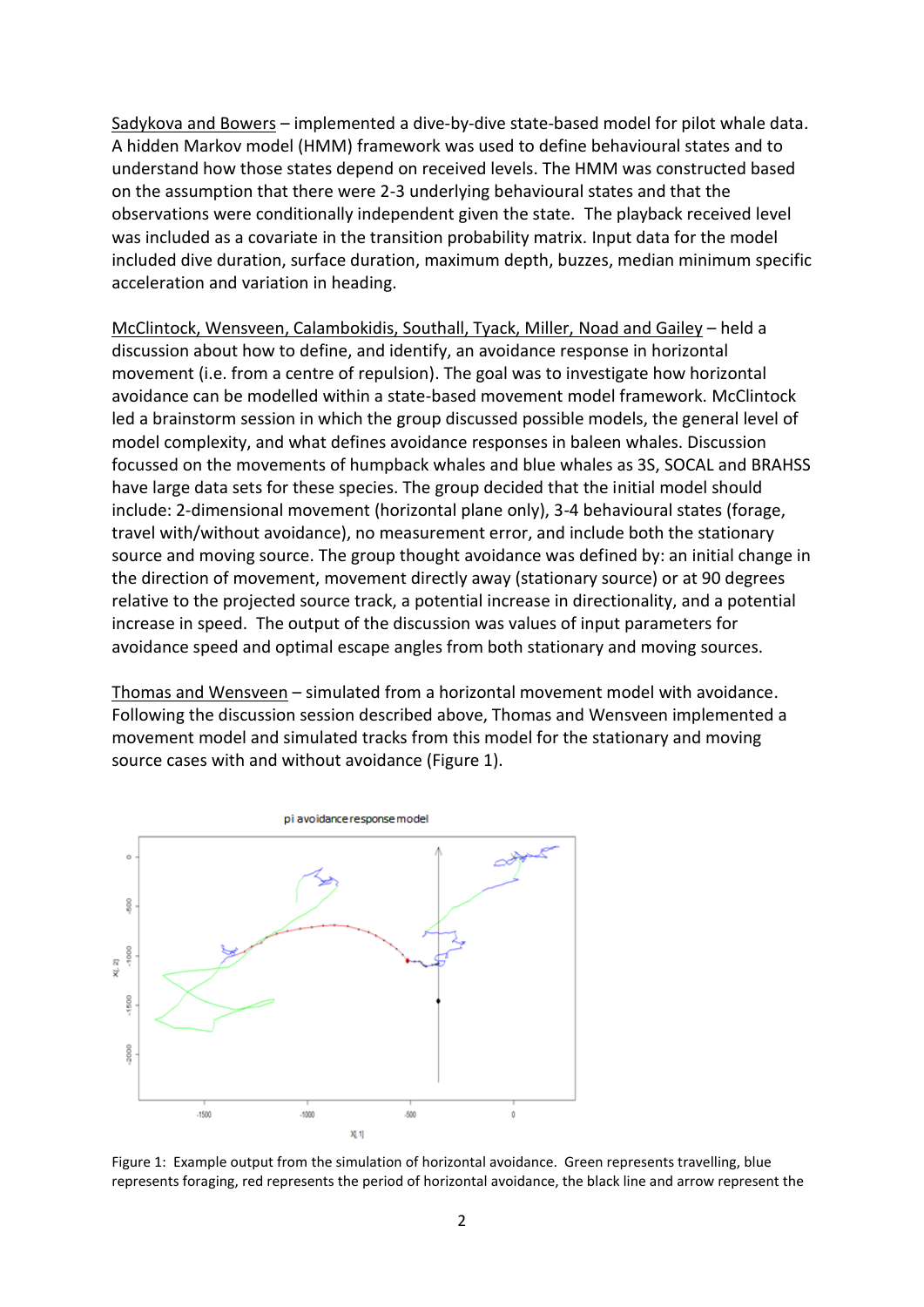Sadykova and Bowers – implemented a dive-by-dive state-based model for pilot whale data. A hidden Markov model (HMM) framework was used to define behavioural states and to understand how those states depend on received levels. The HMM was constructed based on the assumption that there were 2-3 underlying behavioural states and that the observations were conditionally independent given the state. The playback received level was included as a covariate in the transition probability matrix. Input data for the model included dive duration, surface duration, maximum depth, buzzes, median minimum specific acceleration and variation in heading.

McClintock, Wensveen, Calambokidis, Southall, Tyack, Miller, Noad and Gailey – held a discussion about how to define, and identify, an avoidance response in horizontal movement (i.e. from a centre of repulsion). The goal was to investigate how horizontal avoidance can be modelled within a state-based movement model framework. McClintock led a brainstorm session in which the group discussed possible models, the general level of model complexity, and what defines avoidance responses in baleen whales. Discussion focussed on the movements of humpback whales and blue whales as 3S, SOCAL and BRAHSS have large data sets for these species. The group decided that the initial model should include: 2-dimensional movement (horizontal plane only), 3-4 behavioural states (forage, travel with/without avoidance), no measurement error, and include both the stationary source and moving source. The group thought avoidance was defined by: an initial change in the direction of movement, movement directly away (stationary source) or at 90 degrees relative to the projected source track, a potential increase in directionality, and a potential increase in speed. The output of the discussion was values of input parameters for avoidance speed and optimal escape angles from both stationary and moving sources.

Thomas and Wensveen – simulated from a horizontal movement model with avoidance. Following the discussion session described above, Thomas and Wensveen implemented a movement model and simulated tracks from this model for the stationary and moving source cases with and without avoidance (Figure 1).



Figure 1: Example output from the simulation of horizontal avoidance. Green represents travelling, blue represents foraging, red represents the period of horizontal avoidance, the black line and arrow represent the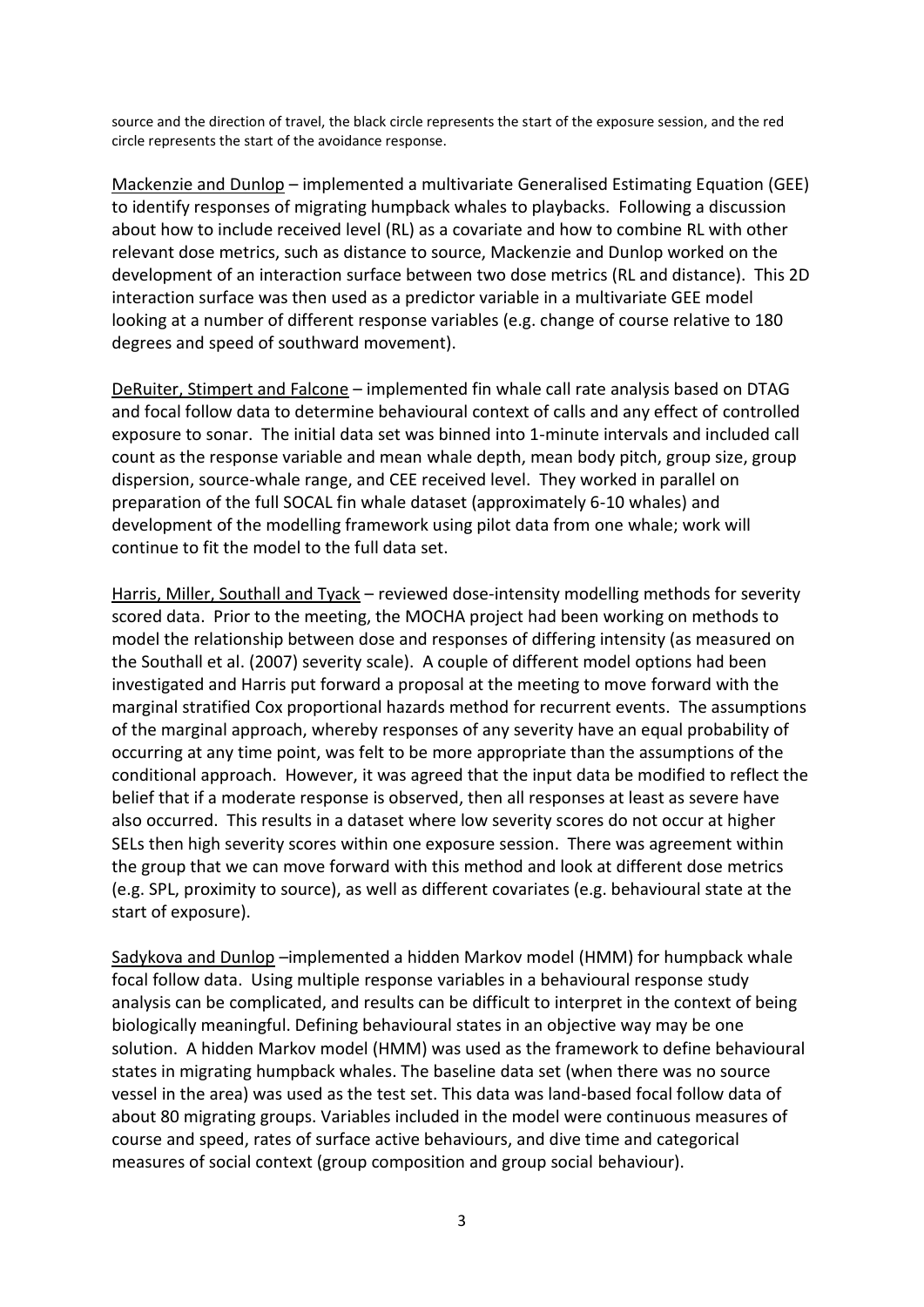source and the direction of travel, the black circle represents the start of the exposure session, and the red circle represents the start of the avoidance response.

Mackenzie and Dunlop – implemented a multivariate Generalised Estimating Equation (GEE) to identify responses of migrating humpback whales to playbacks. Following a discussion about how to include received level (RL) as a covariate and how to combine RL with other relevant dose metrics, such as distance to source, Mackenzie and Dunlop worked on the development of an interaction surface between two dose metrics (RL and distance). This 2D interaction surface was then used as a predictor variable in a multivariate GEE model looking at a number of different response variables (e.g. change of course relative to 180 degrees and speed of southward movement).

DeRuiter, Stimpert and Falcone – implemented fin whale call rate analysis based on DTAG and focal follow data to determine behavioural context of calls and any effect of controlled exposure to sonar. The initial data set was binned into 1-minute intervals and included call count as the response variable and mean whale depth, mean body pitch, group size, group dispersion, source-whale range, and CEE received level. They worked in parallel on preparation of the full SOCAL fin whale dataset (approximately 6-10 whales) and development of the modelling framework using pilot data from one whale; work will continue to fit the model to the full data set.

Harris, Miller, Southall and Tyack – reviewed dose-intensity modelling methods for severity scored data. Prior to the meeting, the MOCHA project had been working on methods to model the relationship between dose and responses of differing intensity (as measured on the Southall et al. (2007) severity scale). A couple of different model options had been investigated and Harris put forward a proposal at the meeting to move forward with the marginal stratified Cox proportional hazards method for recurrent events. The assumptions of the marginal approach, whereby responses of any severity have an equal probability of occurring at any time point, was felt to be more appropriate than the assumptions of the conditional approach. However, it was agreed that the input data be modified to reflect the belief that if a moderate response is observed, then all responses at least as severe have also occurred. This results in a dataset where low severity scores do not occur at higher SELs then high severity scores within one exposure session. There was agreement within the group that we can move forward with this method and look at different dose metrics (e.g. SPL, proximity to source), as well as different covariates (e.g. behavioural state at the start of exposure).

Sadykova and Dunlop –implemented a hidden Markov model (HMM) for humpback whale focal follow data. Using multiple response variables in a behavioural response study analysis can be complicated, and results can be difficult to interpret in the context of being biologically meaningful. Defining behavioural states in an objective way may be one solution. A hidden Markov model (HMM) was used as the framework to define behavioural states in migrating humpback whales. The baseline data set (when there was no source vessel in the area) was used as the test set. This data was land-based focal follow data of about 80 migrating groups. Variables included in the model were continuous measures of course and speed, rates of surface active behaviours, and dive time and categorical measures of social context (group composition and group social behaviour).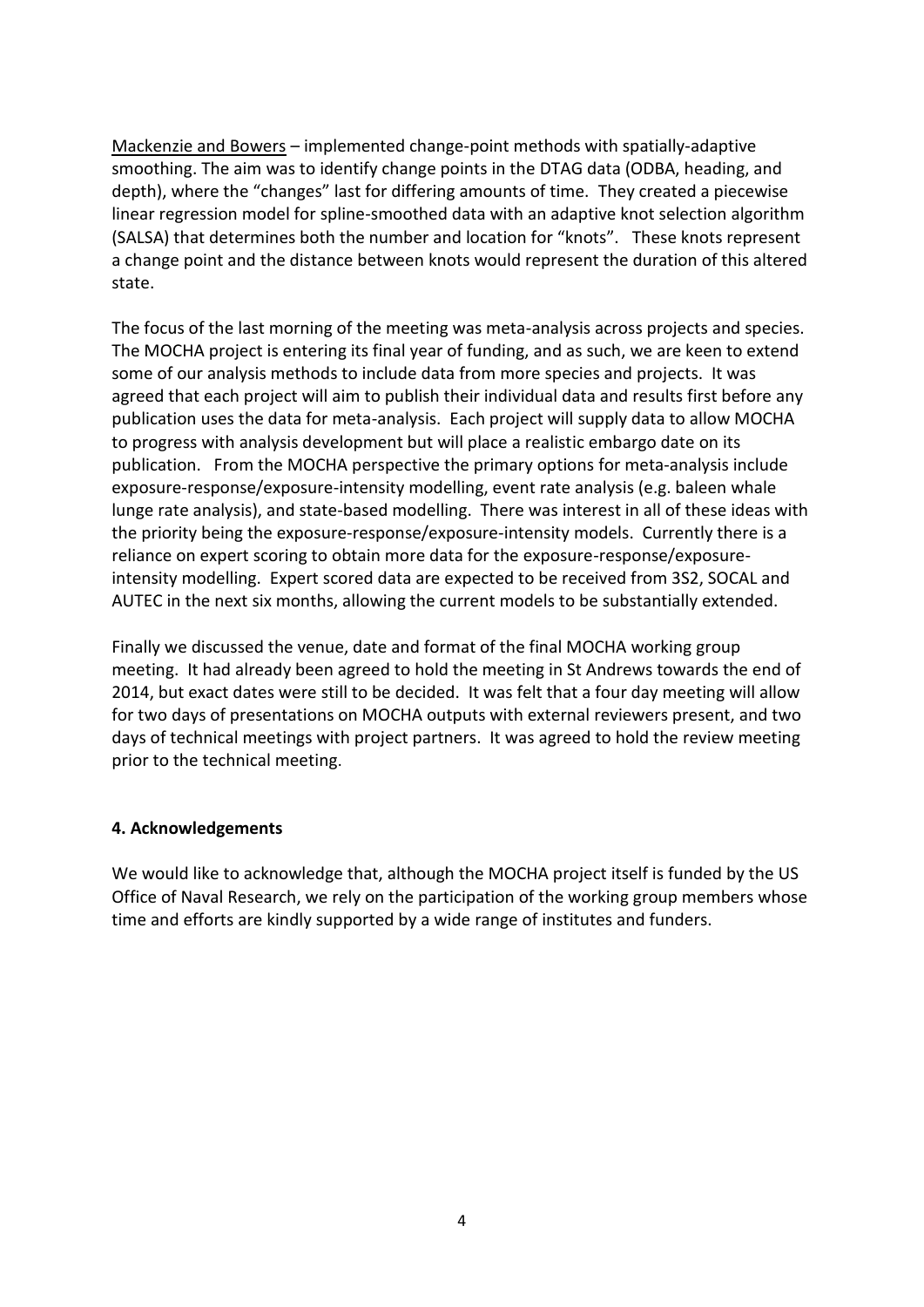Mackenzie and Bowers – implemented change-point methods with spatially-adaptive smoothing. The aim was to identify change points in the DTAG data (ODBA, heading, and depth), where the "changes" last for differing amounts of time. They created a piecewise linear regression model for spline-smoothed data with an adaptive knot selection algorithm (SALSA) that determines both the number and location for "knots". These knots represent a change point and the distance between knots would represent the duration of this altered state.

The focus of the last morning of the meeting was meta-analysis across projects and species. The MOCHA project is entering its final year of funding, and as such, we are keen to extend some of our analysis methods to include data from more species and projects. It was agreed that each project will aim to publish their individual data and results first before any publication uses the data for meta-analysis. Each project will supply data to allow MOCHA to progress with analysis development but will place a realistic embargo date on its publication. From the MOCHA perspective the primary options for meta-analysis include exposure-response/exposure-intensity modelling, event rate analysis (e.g. baleen whale lunge rate analysis), and state-based modelling. There was interest in all of these ideas with the priority being the exposure-response/exposure-intensity models. Currently there is a reliance on expert scoring to obtain more data for the exposure-response/exposureintensity modelling. Expert scored data are expected to be received from 3S2, SOCAL and AUTEC in the next six months, allowing the current models to be substantially extended.

Finally we discussed the venue, date and format of the final MOCHA working group meeting. It had already been agreed to hold the meeting in St Andrews towards the end of 2014, but exact dates were still to be decided. It was felt that a four day meeting will allow for two days of presentations on MOCHA outputs with external reviewers present, and two days of technical meetings with project partners. It was agreed to hold the review meeting prior to the technical meeting.

#### **4. Acknowledgements**

We would like to acknowledge that, although the MOCHA project itself is funded by the US Office of Naval Research, we rely on the participation of the working group members whose time and efforts are kindly supported by a wide range of institutes and funders.